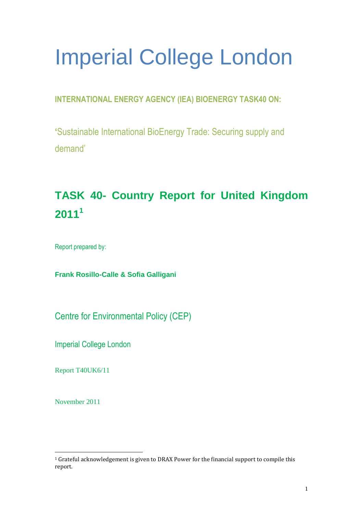# Imperial College London

# **INTERNATIONAL ENERGY AGENCY (IEA) BIOENERGY TASK40 ON:**

**'**Sustainable International BioEnergy Trade: Securing supply and demand'

# **TASK 40- Country Report for United Kingdom 2011<sup>1</sup>**

Report prepared by:

**Frank Rosillo-Calle & Sofia Galligani** 

Centre for Environmental Policy (CEP)

Imperial College London

Report T40UK6/11

November 2011

 $\overline{a}$ <sup>1</sup> Grateful acknowledgement is given to DRAX Power for the financial support to compile this report.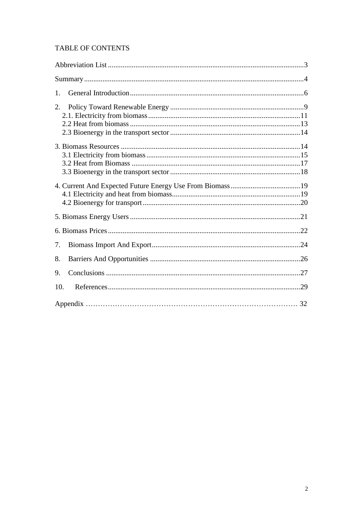## TABLE OF CONTENTS

| 1.  |  |
|-----|--|
| 2.  |  |
|     |  |
|     |  |
|     |  |
|     |  |
| 7.  |  |
| 8.  |  |
| 9.  |  |
| 10. |  |
|     |  |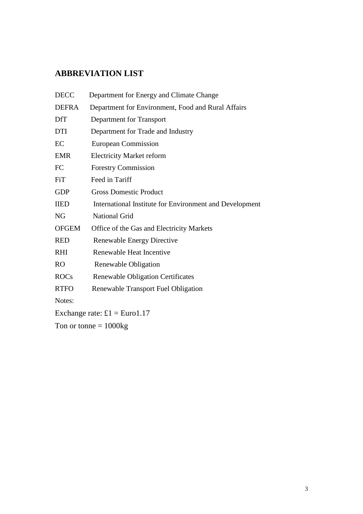# <span id="page-2-0"></span>**ABBREVIATION LIST**

| <b>DECC</b>                          | Department for Energy and Climate Change                |  |  |
|--------------------------------------|---------------------------------------------------------|--|--|
| <b>DEFRA</b>                         | Department for Environment, Food and Rural Affairs      |  |  |
| <b>DfT</b>                           | Department for Transport                                |  |  |
| <b>DTI</b>                           | Department for Trade and Industry                       |  |  |
| EC                                   | European Commission                                     |  |  |
| <b>EMR</b>                           | <b>Electricity Market reform</b>                        |  |  |
| FC                                   | <b>Forestry Commission</b>                              |  |  |
| <b>FiT</b>                           | Feed in Tariff                                          |  |  |
| <b>GDP</b>                           | <b>Gross Domestic Product</b>                           |  |  |
| <b>IIED</b>                          | International Institute for Environment and Development |  |  |
| <b>NG</b>                            | <b>National Grid</b>                                    |  |  |
| <b>OFGEM</b>                         | Office of the Gas and Electricity Markets               |  |  |
| <b>RED</b>                           | <b>Renewable Energy Directive</b>                       |  |  |
| <b>RHI</b>                           | Renewable Heat Incentive                                |  |  |
| <b>RO</b>                            | Renewable Obligation                                    |  |  |
| <b>ROCs</b>                          | <b>Renewable Obligation Certificates</b>                |  |  |
| <b>RTFO</b>                          | Renewable Transport Fuel Obligation                     |  |  |
| Notes:                               |                                                         |  |  |
| Exchange rate: $\pounds1 = Euro1.17$ |                                                         |  |  |
| Ton or tonne $= 1000$ kg             |                                                         |  |  |
|                                      |                                                         |  |  |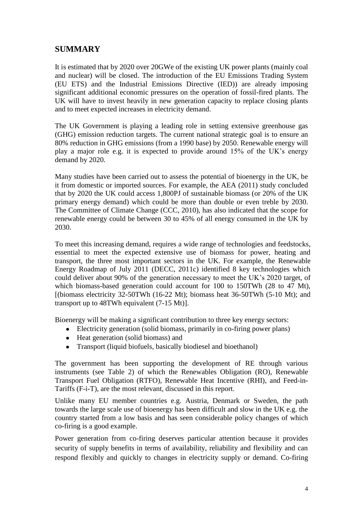# <span id="page-3-0"></span>**SUMMARY**

It is estimated that by 2020 over 20GWe of the existing UK power plants (mainly coal and nuclear) will be closed. The introduction of the EU Emissions Trading System (EU ETS) and the Industrial Emissions Directive (IED)) are already imposing significant additional economic pressures on the operation of fossil-fired plants. The UK will have to invest heavily in new generation capacity to replace closing plants and to meet expected increases in electricity demand.

The UK Government is playing a leading role in setting extensive greenhouse gas (GHG) emission reduction targets. The current national strategic goal is to ensure an 80% reduction in GHG emissions (from a 1990 base) by 2050. Renewable energy will play a major role e.g. it is expected to provide around 15% of the UK"s energy demand by 2020.

Many studies have been carried out to assess the potential of bioenergy in the UK, be it from domestic or imported sources. For example, the AEA (2011) study concluded that by 2020 the UK could access 1,800PJ of sustainable biomass (or 20% of the UK primary energy demand) which could be more than double or even treble by 2030. The Committee of Climate Change (CCC, 2010), has also indicated that the scope for renewable energy could be between 30 to 45% of all energy consumed in the UK by 2030.

To meet this increasing demand, requires a wide range of technologies and feedstocks, essential to meet the expected extensive use of biomass for power, heating and transport, the three most important sectors in the UK. For example, the Renewable Energy Roadmap of July 2011 (DECC, 2011c) identified 8 key technologies which could deliver about 90% of the generation necessary to meet the UK"s 2020 target, of which biomass-based generation could account for 100 to 150TWh (28 to 47 Mt), [(biomass electricity 32-50TWh (16-22 Mt); biomass heat 36-50TWh (5-10 Mt); and transport up to 48TWh equivalent (7-15 Mt)].

Bioenergy will be making a significant contribution to three key energy sectors:

- Electricity generation (solid biomass, primarily in co-firing power plans)
- Heat generation (solid biomass) and
- Transport (liquid biofuels, basically biodiesel and bioethanol)

The government has been supporting the development of RE through various instruments (see Table 2) of which the Renewables Obligation (RO), Renewable Transport Fuel Obligation (RTFO), Renewable Heat Incentive (RHI), and Feed-in-Tariffs (F-i-T), are the most relevant, discussed in this report.

Unlike many EU member countries e.g. Austria, Denmark or Sweden, the path towards the large scale use of bioenergy has been difficult and slow in the UK e.g. the country started from a low basis and has seen considerable policy changes of which co-firing is a good example.

Power generation from co-firing deserves particular attention because it provides security of supply benefits in terms of availability, reliability and flexibility and can respond flexibly and quickly to changes in electricity supply or demand. Co-firing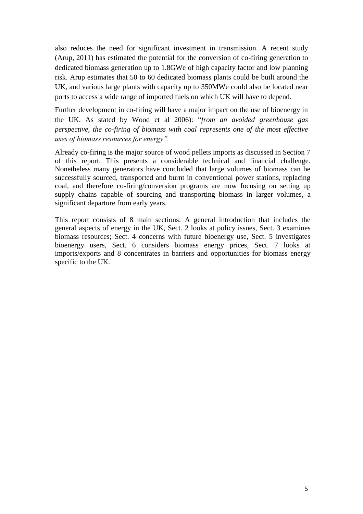also reduces the need for significant investment in transmission. A recent study (Arup, 2011) has estimated the potential for the conversion of co-firing generation to dedicated biomass generation up to 1.8GWe of high capacity factor and low planning risk. Arup estimates that 50 to 60 dedicated biomass plants could be built around the UK, and various large plants with capacity up to 350MWe could also be located near ports to access a wide range of imported fuels on which UK will have to depend.

Further development in co-firing will have a major impact on the use of bioenergy in the UK. As stated by Wood et al 2006): "*from an avoided greenhouse gas perspective, the co-firing of biomass with coal represents one of the most effective uses of biomass resources for energy".*

Already co-firing is the major source of wood pellets imports as discussed in Section 7 of this report. This presents a considerable technical and financial challenge. Nonetheless many generators have concluded that large volumes of biomass can be successfully sourced, transported and burnt in conventional power stations, replacing coal, and therefore co-firing/conversion programs are now focusing on setting up supply chains capable of sourcing and transporting biomass in larger volumes, a significant departure from early years.

This report consists of 8 main sections: A general introduction that includes the general aspects of energy in the UK, Sect. 2 looks at policy issues, Sect. 3 examines biomass resources; Sect. 4 concerns with future bioenergy use, Sect. 5 investigates bioenergy users, Sect. 6 considers biomass energy prices, Sect. 7 looks at imports/exports and 8 concentrates in barriers and opportunities for biomass energy specific to the UK.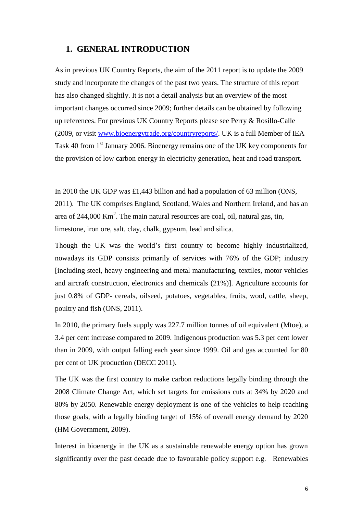#### <span id="page-5-0"></span>**1. GENERAL INTRODUCTION**

As in previous UK Country Reports, the aim of the 2011 report is to update the 2009 study and incorporate the changes of the past two years. The structure of this report has also changed slightly. It is not a detail analysis but an overview of the most important changes occurred since 2009; further details can be obtained by following up references. For previous UK Country Reports please see Perry & Rosillo-Calle (2009, or visit [www.bioenergytrade.org/countryreports/.](http://www.bioenergytrade.org/countryreports/) UK is a full Member of IEA Task 40 from 1<sup>st</sup> January 2006. Bioenergy remains one of the UK key components for the provision of low carbon energy in electricity generation, heat and road transport.

In 2010 the UK GDP was £1,443 billion and had a population of 63 million (ONS, 2011). The UK comprises England, Scotland, Wales and Northern Ireland, and has an area of 244,000 Km<sup>2</sup>. The main natural resources are coal, oil, natural gas, tin, limestone, iron ore, salt, clay, chalk, gypsum, lead and silica.

Though the UK was the world"s first country to become highly industrialized, nowadays its GDP consists primarily of services with 76% of the GDP; industry [including steel, heavy engineering and metal manufacturing, textiles, motor vehicles and aircraft construction, electronics and chemicals (21%)]. Agriculture accounts for just 0.8% of GDP- cereals, oilseed, potatoes, vegetables, fruits, wool, cattle, sheep, poultry and fish (ONS, 2011).

In 2010, the primary fuels supply was 227.7 million tonnes of oil equivalent (Mtoe), a 3.4 per cent increase compared to 2009. Indigenous production was 5.3 per cent lower than in 2009, with output falling each year since 1999. Oil and gas accounted for 80 per cent of UK production (DECC 2011).

The UK was the first country to make carbon reductions legally binding through the 2008 Climate Change Act, which set targets for emissions cuts at 34% by 2020 and 80% by 2050. Renewable energy deployment is one of the vehicles to help reaching those goals, with a legally binding target of 15% of overall energy demand by 2020 (HM Government, 2009).

Interest in bioenergy in the UK as a sustainable renewable energy option has grown significantly over the past decade due to favourable policy support e.g. Renewables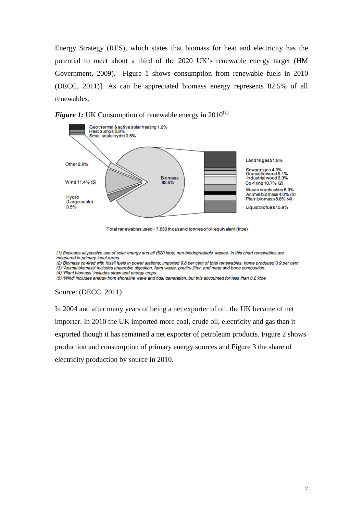Energy Strategy (RES), which states that biomass for heat and electricity has the potential to meet about a third of the 2020 UK"s renewable energy target (HM Government, 2009). Figure 1 shows consumption from renewable fuels in 2010 (DECC, 2011)]. As can be appreciated biomass energy represents 82.5% of all renewables.





Total renewables used=7,650 thousand tonnes of oil equivalent (ktoe)

(1) Excludes all passive use of solar energy and all (520 ktoe) non-biodegradable wastes. In this chart renewables are measured in primary input terms.

(2) Biomass co-fired with fossil fuels in power stations; imported 9.8 per cent of total renewables, home produced 0.9 per cent (3) 'Animal biomass' includes anaerobic digestion, farm waste, poultry litter, and meat and bone combustion.

(4) 'Plant biomass' includes straw and energy crops.

(5) 'Wind' includes energy from shoreline wave and tidal generation, but this accounted for less than 0.2 ktoe

#### Source: (DECC, 2011)

In 2004 and after many years of being a net exporter of oil, the UK became of net importer. In 2010 the UK imported more coal, crude oil, electricity and gas than it exported though it has remained a net exporter of petroleum products. Figure 2 shows production and consumption of primary energy sources and Figure 3 the share of electricity production by source in 2010.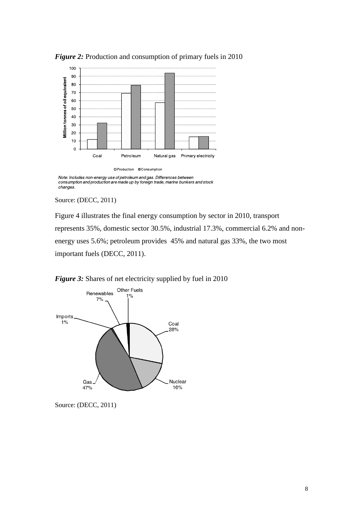

*Figure 2:* Production and consumption of primary fuels in 2010

Note: Includes non-energy use of petroleum and gas. Differences between<br>consumption and production are made up by foreign trade, marine bunkers and stock changes.

#### Source: (DECC, 2011)

Figure 4 illustrates the final energy consumption by sector in 2010, transport represents 35%, domestic sector 30.5%, industrial 17.3%, commercial 6.2% and nonenergy uses 5.6%; petroleum provides 45% and natural gas 33%, the two most important fuels (DECC, 2011).





Source: (DECC, 2011)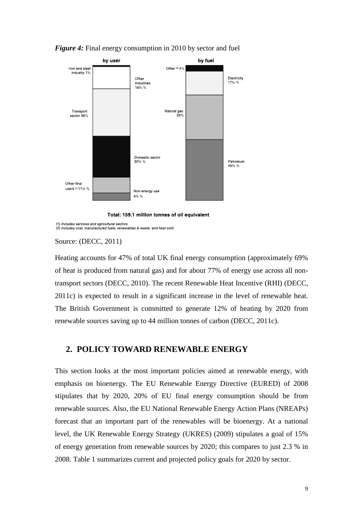

*Figure 4:* Final energy consumption in 2010 by sector and fuel

Total: 159.1 million tonnes of oil equivalent

(1) Includes services and agricultural sectors.<br>(2) Includes coal, manufactured fuels, renewables & waste, and heat sold.

Source: (DECC, 2011)

Heating accounts for 47% of total UK final energy consumption (approximately 69% of heat is produced from natural gas) and for about 77% of energy use across all nontransport sectors (DECC, 2010). The recent Renewable Heat Incentive (RHI) (DECC, 2011c) is expected to result in a significant increase in the level of renewable heat. The British Government is committed to generate 12% of heating by 2020 from renewable sources saving up to 44 million tonnes of carbon (DECC, 2011c).

#### <span id="page-8-0"></span>**2. POLICY TOWARD RENEWABLE ENERGY**

This section looks at the most important policies aimed at renewable energy, with emphasis on bioenergy. The EU Renewable Energy Directive (EURED) of 2008 stipulates that by 2020, 20% of EU final energy consumption should be from renewable sources. Also, the EU National Renewable Energy Action Plans (NREAPs) forecast that an important part of the renewables will be bioenergy. At a national level, the UK Renewable Energy Strategy (UKRES) (2009) stipulates a goal of 15% of energy generation from renewable sources by 2020; this compares to just 2.3 % in 2008. Table 1 summarizes current and projected policy goals for 2020 by sector.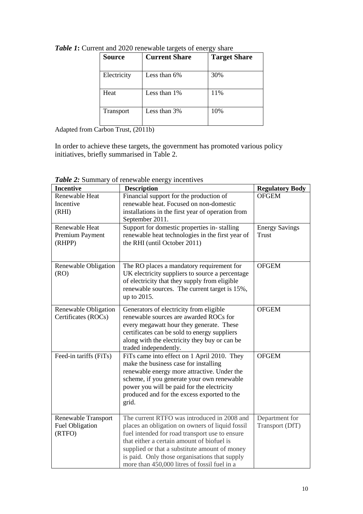| <b>Source</b> | <b>Current Share</b> | <b>Target Share</b> |
|---------------|----------------------|---------------------|
| Electricity   | Less than $6\%$      | 30%                 |
| Heat          | Less than 1%         | 11%                 |
| Transport     | Less than 3%         | 10%                 |

**Table 1:** Current and 2020 renewable targets of energy share

Adapted from Carbon Trust, (2011b)

In order to achieve these targets, the government has promoted various policy initiatives, briefly summarised in Table 2.

| <b>Incentive</b>       | <b>Description</b>                                | <b>Regulatory Body</b> |
|------------------------|---------------------------------------------------|------------------------|
| <b>Renewable Heat</b>  | Financial support for the production of           | <b>OFGEM</b>           |
| Incentive              | renewable heat. Focused on non-domestic           |                        |
| (RHI)                  | installations in the first year of operation from |                        |
|                        | September 2011.                                   |                        |
| Renewable Heat         | Support for domestic properties in-stalling       | <b>Energy Savings</b>  |
| Premium Payment        | renewable heat technologies in the first year of  | Trust                  |
| (RHPP)                 | the RHI (until October 2011)                      |                        |
|                        |                                                   |                        |
|                        |                                                   |                        |
| Renewable Obligation   | The RO places a mandatory requirement for         | <b>OFGEM</b>           |
| (RO)                   | UK electricity suppliers to source a percentage   |                        |
|                        | of electricity that they supply from eligible     |                        |
|                        | renewable sources. The current target is 15%,     |                        |
|                        | up to 2015.                                       |                        |
| Renewable Obligation   | Generators of electricity from eligible           | <b>OFGEM</b>           |
| Certificates (ROCs)    | renewable sources are awarded ROCs for            |                        |
|                        | every megawatt hour they generate. These          |                        |
|                        | certificates can be sold to energy suppliers      |                        |
|                        | along with the electricity they buy or can be     |                        |
|                        | traded independently.                             |                        |
| Feed-in tariffs (FiTs) | FiTs came into effect on 1 April 2010. They       | <b>OFGEM</b>           |
|                        | make the business case for installing             |                        |
|                        | renewable energy more attractive. Under the       |                        |
|                        | scheme, if you generate your own renewable        |                        |
|                        | power you will be paid for the electricity        |                        |
|                        | produced and for the excess exported to the       |                        |
|                        | grid.                                             |                        |
|                        |                                                   |                        |
| Renewable Transport    | The current RTFO was introduced in 2008 and       | Department for         |
| <b>Fuel Obligation</b> | places an obligation on owners of liquid fossil   | Transport (DfT)        |
| (RTFO)                 | fuel intended for road transport use to ensure    |                        |
|                        | that either a certain amount of biofuel is        |                        |
|                        | supplied or that a substitute amount of money     |                        |
|                        | is paid. Only those organisations that supply     |                        |
|                        | more than 450,000 litres of fossil fuel in a      |                        |

*Table 2:* Summary of renewable energy incentives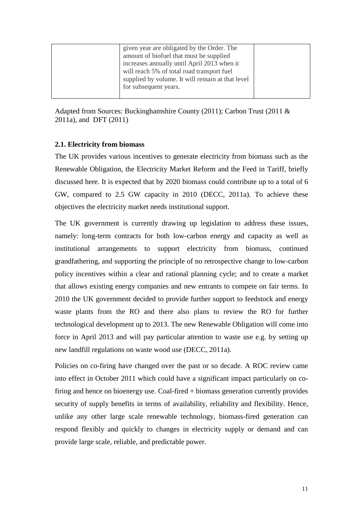Adapted from Sources: Buckinghamshire County (2011); Carbon Trust (2011 & 2011a), and DFT (2011)

#### <span id="page-10-0"></span>**2.1. Electricity from biomass**

The UK provides various incentives to generate electricity from biomass such as the Renewable Obligation, the Electricity Market Reform and the Feed in Tariff, briefly discussed here. It is expected that by 2020 biomass could contribute up to a total of 6 GW, compared to 2.5 GW capacity in 2010 (DECC, 2011a). To achieve these objectives the electricity market needs institutional support.

The UK government is currently drawing up legislation to address these issues, namely: long-term contracts for both low-carbon energy and capacity as well as institutional arrangements to support electricity from biomass, continued grandfathering, and supporting the principle of no retrospective change to low-carbon policy incentives within a clear and rational planning cycle; and to create a market that allows existing energy companies and new entrants to compete on fair terms. In 2010 the UK government decided to provide further support to feedstock and energy waste plants from the RO and there also plans to review the RO for further technological development up to 2013. The new Renewable Obligation will come into force in April 2013 and will pay particular attention to waste use e.g. by setting up new landfill regulations on waste wood use (DECC, 2011a).

Policies on co-firing have changed over the past or so decade. A ROC review came into effect in October 2011 which could have a significant impact particularly on cofiring and hence on bioenergy use. Coal-fired + biomass generation currently provides security of supply benefits in terms of availability, reliability and flexibility. Hence, unlike any other large scale renewable technology, biomass-fired generation can respond flexibly and quickly to changes in electricity supply or demand and can provide large scale, reliable, and predictable power.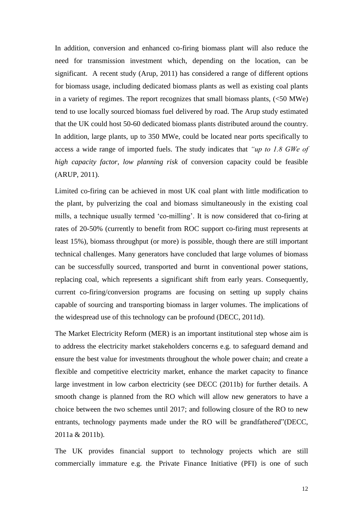In addition, conversion and enhanced co-firing biomass plant will also reduce the need for transmission investment which, depending on the location, can be significant. A recent study (Arup, 2011) has considered a range of different options for biomass usage, including dedicated biomass plants as well as existing coal plants in a variety of regimes. The report recognizes that small biomass plants,  $(<50$  MWe) tend to use locally sourced biomass fuel delivered by road. The Arup study estimated that the UK could host 50-60 dedicated biomass plants distributed around the country. In addition, large plants, up to 350 MWe, could be located near ports specifically to access a wide range of imported fuels. The study indicates that *"up to 1.8 GWe of high capacity factor, low planning risk* of conversion capacity could be feasible (ARUP, 2011).

Limited co-firing can be achieved in most UK coal plant with little modification to the plant, by pulverizing the coal and biomass simultaneously in the existing coal mills, a technique usually termed 'co-milling'. It is now considered that co-firing at rates of 20-50% (currently to benefit from ROC support co-firing must represents at least 15%), biomass throughput (or more) is possible, though there are still important technical challenges. Many generators have concluded that large volumes of biomass can be successfully sourced, transported and burnt in conventional power stations, replacing coal, which represents a significant shift from early years. Consequently, current co-firing/conversion programs are focusing on setting up supply chains capable of sourcing and transporting biomass in larger volumes. The implications of the widespread use of this technology can be profound (DECC, 2011d).

The Market Electricity Reform (MER) is an important institutional step whose aim is to address the electricity market stakeholders concerns e.g. to safeguard demand and ensure the best value for investments throughout the whole power chain; and create a flexible and competitive electricity market, enhance the market capacity to finance large investment in low carbon electricity (see DECC (2011b) for further details. A smooth change is planned from the RO which will allow new generators to have a choice between the two schemes until 2017; and following closure of the RO to new entrants, technology payments made under the RO will be grandfathered"(DECC, 2011a & 2011b).

The UK provides financial support to technology projects which are still commercially immature e.g. the Private Finance Initiative (PFI) is one of such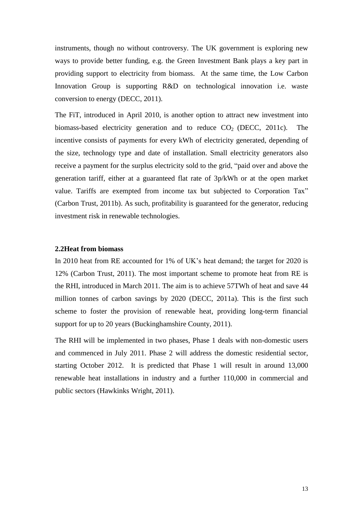instruments, though no without controversy. The UK government is exploring new ways to provide better funding, e.g. the Green Investment Bank plays a key part in providing support to electricity from biomass. At the same time, the Low Carbon Innovation Group is supporting R&D on technological innovation i.e. waste conversion to energy (DECC, 2011).

The FiT, introduced in April 2010, is another option to attract new investment into biomass-based electricity generation and to reduce  $CO<sub>2</sub>$  (DECC, 2011c). The incentive consists of payments for every kWh of electricity generated, depending of the size, technology type and date of installation. Small electricity generators also receive a payment for the surplus electricity sold to the grid, "paid over and above the generation tariff, either at a guaranteed flat rate of 3p/kWh or at the open market value. Tariffs are exempted from income tax but subjected to Corporation Tax" (Carbon Trust, 2011b). As such, profitability is guaranteed for the generator, reducing investment risk in renewable technologies.

#### <span id="page-12-0"></span>**2.2Heat from biomass**

In 2010 heat from RE accounted for 1% of UK's heat demand; the target for 2020 is 12% (Carbon Trust, 2011). The most important scheme to promote heat from RE is the RHI, introduced in March 2011. The aim is to achieve 57TWh of heat and save 44 million tonnes of carbon savings by 2020 (DECC, 2011a). This is the first such scheme to foster the provision of renewable heat, providing long-term financial support for up to 20 years (Buckinghamshire County, 2011).

The RHI will be implemented in two phases, Phase 1 deals with non-domestic users and commenced in July 2011. Phase 2 will address the domestic residential sector, starting October 2012. It is predicted that Phase 1 will result in around 13,000 renewable heat installations in industry and a further 110,000 in commercial and public sectors (Hawkinks Wright, 2011).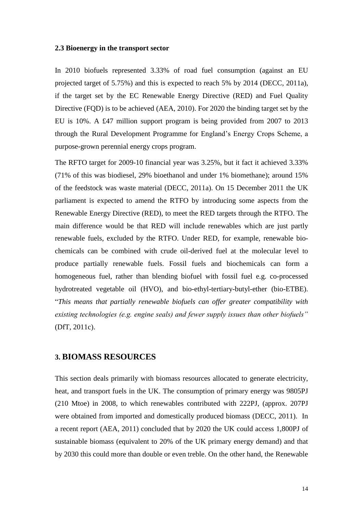#### <span id="page-13-0"></span>**2.3 Bioenergy in the transport sector**

In 2010 biofuels represented 3.33% of road fuel consumption (against an EU projected target of 5.75%) and this is expected to reach 5% by 2014 (DECC, 2011a), if the target set by the EC Renewable Energy Directive (RED) and Fuel Quality Directive (FQD) is to be achieved (AEA, 2010). For 2020 the binding target set by the EU is 10%. A £47 million support program is being provided from 2007 to 2013 through the Rural Development Programme for England"s Energy Crops Scheme, a purpose-grown perennial energy crops program.

The RFTO target for 2009-10 financial year was 3.25%, but it fact it achieved 3.33% (71% of this was biodiesel, 29% bioethanol and under 1% biomethane); around 15% of the feedstock was waste material (DECC, 2011a). On 15 December 2011 the UK parliament is expected to amend the RTFO by introducing some aspects from the Renewable Energy Directive (RED), to meet the RED targets through the RTFO. The main difference would be that RED will include renewables which are just partly renewable fuels, excluded by the RTFO. Under RED, for example, renewable biochemicals can be combined with crude oil-derived fuel at the molecular level to produce partially renewable fuels. Fossil fuels and biochemicals can form a homogeneous fuel, rather than blending biofuel with fossil fuel e.g. co-processed hydrotreated vegetable oil (HVO), and bio-ethyl-tertiary-butyl-ether (bio-ETBE). "*This means that partially renewable biofuels can offer greater compatibility with existing technologies (e.g. engine seals) and fewer supply issues than other biofuels"* (DfT, 2011c).

#### <span id="page-13-1"></span>**3. BIOMASS RESOURCES**

This section deals primarily with biomass resources allocated to generate electricity, heat, and transport fuels in the UK. The consumption of primary energy was 9805PJ (210 Mtoe) in 2008, to which renewables contributed with 222PJ, (approx. 207PJ were obtained from imported and domestically produced biomass (DECC, 2011). In a recent report (AEA, 2011) concluded that by 2020 the UK could access 1,800PJ of sustainable biomass (equivalent to 20% of the UK primary energy demand) and that by 2030 this could more than double or even treble. On the other hand, the Renewable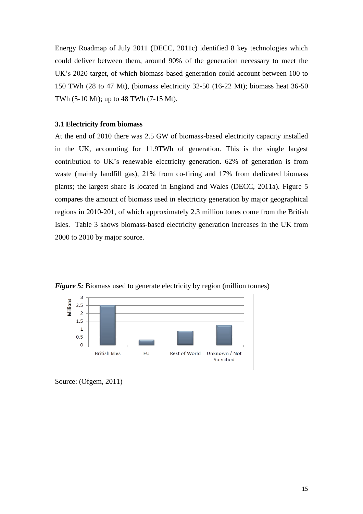Energy Roadmap of July 2011 (DECC, 2011c) identified 8 key technologies which could deliver between them, around 90% of the generation necessary to meet the UK"s 2020 target, of which biomass-based generation could account between 100 to 150 TWh (28 to 47 Mt), (biomass electricity 32-50 (16-22 Mt); biomass heat 36-50 TWh (5-10 Mt); up to 48 TWh (7-15 Mt).

#### <span id="page-14-0"></span>**3.1 Electricity from biomass**

At the end of 2010 there was 2.5 GW of biomass-based electricity capacity installed in the UK, accounting for 11.9TWh of generation. This is the single largest contribution to UK"s renewable electricity generation. 62% of generation is from waste (mainly landfill gas), 21% from co-firing and 17% from dedicated biomass plants; the largest share is located in England and Wales (DECC, 2011a). Figure 5 compares the amount of biomass used in electricity generation by major geographical regions in 2010-201, of which approximately 2.3 million tones come from the British Isles. Table 3 shows biomass-based electricity generation increases in the UK from 2000 to 2010 by major source.



*Figure 5:* Biomass used to generate electricity by region (million tonnes)

Source: (Ofgem, 2011)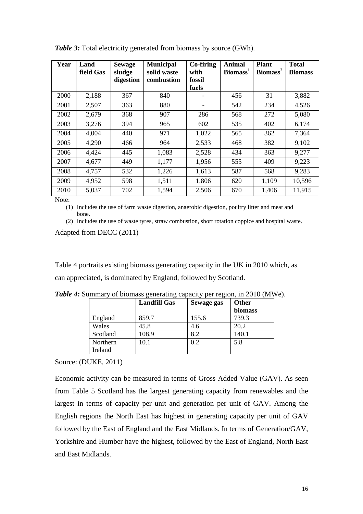| Year | Land<br>field Gas | <b>Sewage</b><br>sludge<br>digestion | <b>Municipal</b><br>solid waste<br>combustion | Co-firing<br>with<br>fossil | <b>Animal</b><br>Biomass <sup>1</sup> | <b>Plant</b><br>Biomass <sup>2</sup> | <b>Total</b><br><b>Biomass</b> |
|------|-------------------|--------------------------------------|-----------------------------------------------|-----------------------------|---------------------------------------|--------------------------------------|--------------------------------|
|      |                   |                                      |                                               | fuels                       |                                       |                                      |                                |
| 2000 | 2,188             | 367                                  | 840                                           |                             | 456                                   | 31                                   | 3,882                          |
| 2001 | 2,507             | 363                                  | 880                                           |                             | 542                                   | 234                                  | 4,526                          |
| 2002 | 2,679             | 368                                  | 907                                           | 286                         | 568                                   | 272                                  | 5,080                          |
| 2003 | 3,276             | 394                                  | 965                                           | 602                         | 535                                   | 402                                  | 6,174                          |
| 2004 | 4,004             | 440                                  | 971                                           | 1,022                       | 565                                   | 362                                  | 7,364                          |
| 2005 | 4,290             | 466                                  | 964                                           | 2,533                       | 468                                   | 382                                  | 9,102                          |
| 2006 | 4,424             | 445                                  | 1,083                                         | 2,528                       | 434                                   | 363                                  | 9,277                          |
| 2007 | 4,677             | 449                                  | 1,177                                         | 1,956                       | 555                                   | 409                                  | 9,223                          |
| 2008 | 4,757             | 532                                  | 1,226                                         | 1,613                       | 587                                   | 568                                  | 9,283                          |
| 2009 | 4,952             | 598                                  | 1,511                                         | 1,806                       | 620                                   | 1,109                                | 10,596                         |
| 2010 | 5,037             | 702                                  | 1,594                                         | 2,506                       | 670                                   | 1,406                                | 11,915                         |

**Table 3:** Total electricity generated from biomass by source (GWh).

Note:

(1) Includes the use of farm waste digestion, anaerobic digestion, poultry litter and meat and bone.

(2) Includes the use of waste tyres, straw combustion, short rotation coppice and hospital waste.

Adapted from DECC (2011)

Table 4 portraits existing biomass generating capacity in the UK in 2010 which, as can appreciated, is dominated by England, followed by Scotland.

|          | <b>Landfill Gas</b> | Sewage gas | Other   |
|----------|---------------------|------------|---------|
|          |                     |            | biomass |
| England  | 859.7               | 155.6      | 739.3   |
| Wales    | 45.8                | 4.6        | 20.2    |
| Scotland | 108.9               | 8.2        | 140.1   |
| Northern | 10.1                | 0.2        | 5.8     |
| Ireland  |                     |            |         |

*Table 4:* Summary of biomass generating capacity per region, in 2010 (MWe).

Source: (DUKE, 2011)

Economic activity can be measured in terms of Gross Added Value (GAV). As seen from Table 5 Scotland has the largest generating capacity from renewables and the largest in terms of capacity per unit and generation per unit of GAV. Among the English regions the North East has highest in generating capacity per unit of GAV followed by the East of England and the East Midlands. In terms of Generation/GAV, Yorkshire and Humber have the highest, followed by the East of England, North East and East Midlands.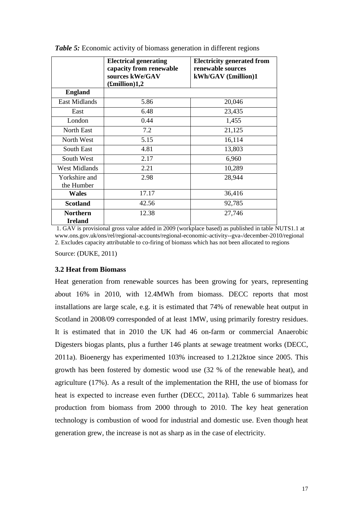|                                   | <b>Electrical generating</b><br>capacity from renewable<br>sources kWe/GAV<br>$\pmb{\pmb{F}}$ million)1,2 | <b>Electricity generated from</b><br>renewable sources<br>$kWh/GAV$ (£million)1 |
|-----------------------------------|-----------------------------------------------------------------------------------------------------------|---------------------------------------------------------------------------------|
| <b>England</b>                    |                                                                                                           |                                                                                 |
| <b>East Midlands</b>              | 5.86                                                                                                      | 20,046                                                                          |
| East                              | 6.48                                                                                                      | 23,435                                                                          |
| London                            | 0.44                                                                                                      | 1,455                                                                           |
| North East                        | 7.2                                                                                                       | 21,125                                                                          |
| North West                        | 5.15                                                                                                      | 16,114                                                                          |
| South East                        | 4.81                                                                                                      | 13,803                                                                          |
| South West                        | 2.17                                                                                                      | 6,960                                                                           |
| <b>West Midlands</b>              | 2.21                                                                                                      | 10,289                                                                          |
| Yorkshire and<br>the Humber       | 2.98                                                                                                      | 28,944                                                                          |
| <b>Wales</b>                      | 17.17                                                                                                     | 36,416                                                                          |
| <b>Scotland</b>                   | 42.56                                                                                                     | 92,785                                                                          |
| <b>Northern</b><br><b>Ireland</b> | 12.38                                                                                                     | 27,746                                                                          |

**Table 5:** Economic activity of biomass generation in different regions

1. GAV is provisional gross value added in 2009 (workplace based) as published in table NUTS1.1 at [www.ons.gov.uk/ons/rel/regional-accounts/regional-economic-activity--gva-/december-2010/regional](http://www.ons.gov.uk/ons/rel/regional-accounts/regional-economic-activity--gva-/december-2010/regional) 2. Excludes capacity attributable to co-firing of biomass which has not been allocated to regions

Source: (DUKE, 2011)

#### <span id="page-16-0"></span>**3.2 Heat from Biomass**

Heat generation from renewable sources has been growing for years, representing about 16% in 2010, with 12.4MWh from biomass. DECC reports that most installations are large scale, e.g. it is estimated that 74% of renewable heat output in Scotland in 2008/09 corresponded of at least 1MW, using primarily forestry residues. It is estimated that in 2010 the UK had 46 on-farm or commercial Anaerobic Digesters biogas plants, plus a further 146 plants at sewage treatment works (DECC, 2011a). Bioenergy has experimented 103% increased to 1.212ktoe since 2005. This growth has been fostered by domestic wood use (32 % of the renewable heat), and agriculture (17%). As a result of the implementation the RHI, the use of biomass for heat is expected to increase even further (DECC, 2011a). Table 6 summarizes heat production from biomass from 2000 through to 2010. The key heat generation technology is combustion of wood for industrial and domestic use. Even though heat generation grew, the increase is not as sharp as in the case of electricity.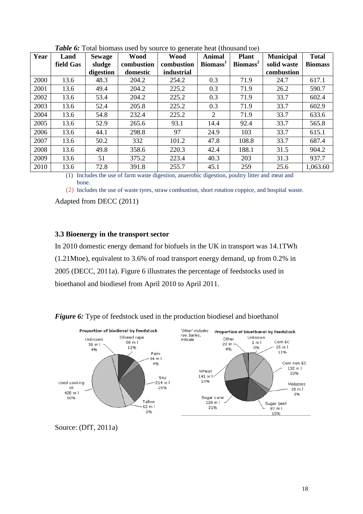|      | Land      | <b>Sewage</b> | <b>Wood</b> | <b>Wood</b> | <b>Animal</b>               | <b>Plant</b>         | <b>Municipal</b> | <b>Total</b>   |
|------|-----------|---------------|-------------|-------------|-----------------------------|----------------------|------------------|----------------|
|      | field Gas | sludge        | combustion  | combustion  | Biomass <sup>1</sup>        | Biomass <sup>2</sup> | solid waste      | <b>Biomass</b> |
|      |           | digestion     | domestic    | industrial  |                             |                      | combustion       |                |
| 2000 | 13.6      | 48.3          | 204.2       | 254.2       | 0.3                         | 71.9                 | 24.7             | 617.1          |
| 2001 | 13.6      | 49.4          | 204.2       | 225.2       | 0.3                         | 71.9                 | 26.2             | 590.7          |
| 2002 | 13.6      | 53.4          | 204.2       | 225.2       | 0.3                         | 71.9                 | 33.7             | 602.4          |
| 2003 | 13.6      | 52.4          | 205.8       | 225.2       | 0.3                         | 71.9                 | 33.7             | 602.9          |
| 2004 | 13.6      | 54.8          | 232.4       | 225.2       | $\mathcal{D}_{\mathcal{L}}$ | 71.9                 | 33.7             | 633.6          |
| 2005 | 13.6      | 52.9          | 265.6       | 93.1        | 14.4                        | 92.4                 | 33.7             | 565.8          |
| 2006 | 13.6      | 44.1          | 298.8       | 97          | 24.9                        | 103                  | 33.7             | 615.1          |
| 2007 | 13.6      | 50.2          | 332         | 101.2       | 47.8                        | 108.8                | 33.7             | 687.4          |
| 2008 | 13.6      | 49.8          | 358.6       | 220.3       | 42.4                        | 188.1                | 31.5             | 904.2          |
| 2009 | 13.6      | 51            | 375.2       | 223.4       | 40.3                        | 203                  | 31.3             | 937.7          |
| 2010 | 13.6      | 72.8          | 391.8       | 255.7       | 45.1                        | 259                  | 25.6             | 1,063.60       |

*Table 6:* Total biomass used by source to generate heat (thousand toe)

(1) Includes the use of farm waste digestion, anaerobic digestion, poultry litter and meat and bone.

(2) Includes the use of waste tyres, straw combustion, short rotation coppice, and hospital waste. Adapted from DECC (2011)

#### <span id="page-17-0"></span>**3.3 Bioenergy in the transport sector**

In 2010 domestic energy demand for biofuels in the UK in transport was 14.1TWh (1.21Mtoe), equivalent to 3.6% of road transport energy demand, up from 0.2% in 2005 (DECC, 2011a). Figure 6 illustrates the percentage of feedstocks used in bioethanol and biodiesel from April 2010 to April 2011.



*Figure 6:* Type of feedstock used in the production biodiesel and bioethanol

Source: (DfT, 2011a)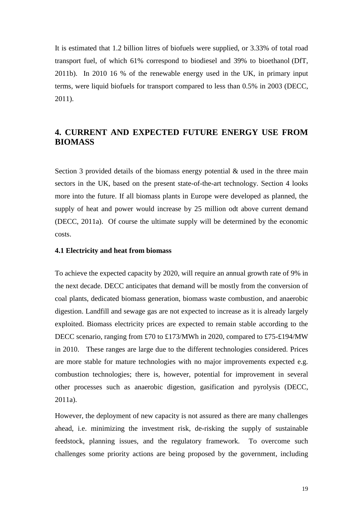It is estimated that 1.2 billion litres of biofuels were supplied, or 3.33% of total road transport fuel, of which 61% correspond to biodiesel and 39% to bioethanol (DfT, 2011b). In 2010 16 % of the renewable energy used in the UK, in primary input terms, were liquid biofuels for transport compared to less than 0.5% in 2003 (DECC, 2011).

# <span id="page-18-0"></span>**4. CURRENT AND EXPECTED FUTURE ENERGY USE FROM BIOMASS**

Section 3 provided details of the biomass energy potential  $\&$  used in the three main sectors in the UK, based on the present state-of-the-art technology. Section 4 looks more into the future. If all biomass plants in Europe were developed as planned, the supply of heat and power would increase by 25 million odt above current demand (DECC, 2011a). Of course the ultimate supply will be determined by the economic costs.

#### <span id="page-18-1"></span>**4.1 Electricity and heat from biomass**

To achieve the expected capacity by 2020, will require an annual growth rate of 9% in the next decade. DECC anticipates that demand will be mostly from the conversion of coal plants, dedicated biomass generation, biomass waste combustion, and anaerobic digestion. Landfill and sewage gas are not expected to increase as it is already largely exploited. Biomass electricity prices are expected to remain stable according to the DECC scenario, ranging from £70 to £173/MWh in 2020, compared to £75-£194/MW in 2010. These ranges are large due to the different technologies considered. Prices are more stable for mature technologies with no major improvements expected e.g. combustion technologies; there is, however, potential for improvement in several other processes such as anaerobic digestion, gasification and pyrolysis (DECC, 2011a).

However, the deployment of new capacity is not assured as there are many challenges ahead, i.e. minimizing the investment risk, de-risking the supply of sustainable feedstock, planning issues, and the regulatory framework. To overcome such challenges some priority actions are being proposed by the government, including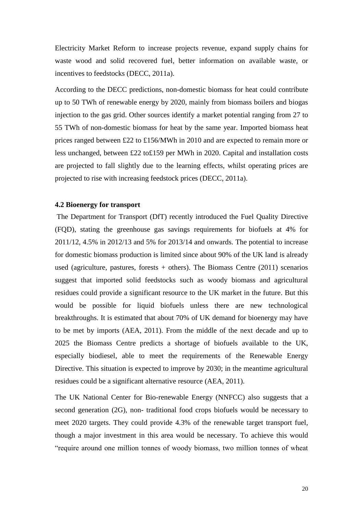Electricity Market Reform to increase projects revenue, expand supply chains for waste wood and solid recovered fuel, better information on available waste, or incentives to feedstocks (DECC, 2011a).

According to the DECC predictions, non-domestic biomass for heat could contribute up to 50 TWh of renewable energy by 2020, mainly from biomass boilers and biogas injection to the gas grid. Other sources identify a market potential ranging from 27 to 55 TWh of non-domestic biomass for heat by the same year. Imported biomass heat prices ranged between £22 to £156/MWh in 2010 and are expected to remain more or less unchanged, between £22 to£159 per MWh in 2020. Capital and installation costs are projected to fall slightly due to the learning effects, whilst operating prices are projected to rise with increasing feedstock prices (DECC, 2011a).

#### <span id="page-19-0"></span>**4.2 Bioenergy for transport**

The Department for Transport (DfT) recently introduced the Fuel Quality Directive (FQD), stating the greenhouse gas savings requirements for biofuels at 4% for 2011/12, 4.5% in 2012/13 and 5% for 2013/14 and onwards. The potential to increase for domestic biomass production is limited since about 90% of the UK land is already used (agriculture, pastures, forests  $+$  others). The Biomass Centre (2011) scenarios suggest that imported solid feedstocks such as woody biomass and agricultural residues could provide a significant resource to the UK market in the future. But this would be possible for liquid biofuels unless there are new technological breakthroughs. It is estimated that about 70% of UK demand for bioenergy may have to be met by imports (AEA, 2011). From the middle of the next decade and up to 2025 the Biomass Centre predicts a shortage of biofuels available to the UK, especially biodiesel, able to meet the requirements of the Renewable Energy Directive. This situation is expected to improve by 2030; in the meantime agricultural residues could be a significant alternative resource (AEA, 2011).

The UK National Center for Bio-renewable Energy (NNFCC) also suggests that a second generation (2G), non- traditional food crops biofuels would be necessary to meet 2020 targets. They could provide 4.3% of the renewable target transport fuel, though a major investment in this area would be necessary. To achieve this would "require around one million tonnes of woody biomass, two million tonnes of wheat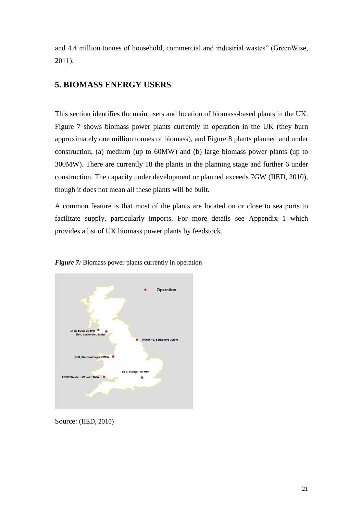and 4.4 million tonnes of household, commercial and industrial wastes" (GreenWise, 2011).

## <span id="page-20-0"></span>**5. BIOMASS ENERGY USERS**

This section identifies the main users and location of biomass-based plants in the UK. Figure 7 shows biomass power plants currently in operation in the UK (they burn approximately one million tonnes of biomass), and Figure 8 plants planned and under construction, (a) medium (up to 60MW) and (b) large biomass power plants **(**up to 300MW). There are currently 18 the plants in the planning stage and further 6 under construction. The capacity under development or planned exceeds 7GW (IIED, 2010), though it does not mean all these plants will be built.

A common feature is that most of the plants are located on or close to sea ports to facilitate supply, particularly imports. For more details see Appendix 1 which provides a list of UK biomass power plants by feedstock.





Source: (IIED, 2010)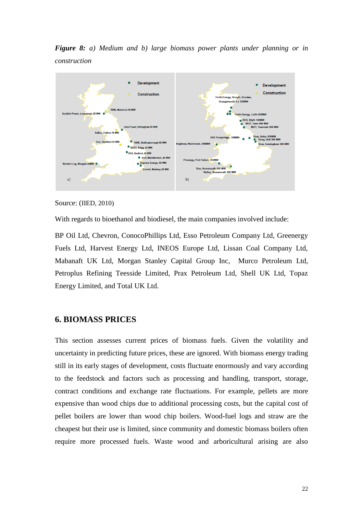*Figure 8: a) Medium and b) large biomass power plants under planning or in construction* 



Source: (IIED, 2010)

With regards to bioethanol and biodiesel, the main companies involved include:

BP Oil Ltd, Chevron, ConocoPhillips Ltd, Esso Petroleum Company Ltd, Greenergy Fuels Ltd, Harvest Energy Ltd, INEOS Europe Ltd, Lissan Coal Company Ltd, Mabanaft UK Ltd, Morgan Stanley Capital Group Inc, Murco Petroleum Ltd, Petroplus Refining Teesside Limited, Prax Petroleum Ltd, Shell UK Ltd, Topaz Energy Limited, and Total UK Ltd.

#### <span id="page-21-0"></span>**6. BIOMASS PRICES**

This section assesses current prices of biomass fuels. Given the volatility and uncertainty in predicting future prices, these are ignored. With biomass energy trading still in its early stages of development, costs fluctuate enormously and vary according to the feedstock and factors such as processing and handling, transport, storage, contract conditions and exchange rate fluctuations. For example, pellets are more expensive than wood chips due to additional processing costs, but the capital cost of pellet boilers are lower than wood chip boilers. Wood-fuel logs and straw are the cheapest but their use is limited, since community and domestic biomass boilers often require more processed fuels. Waste wood and arboricultural arising are also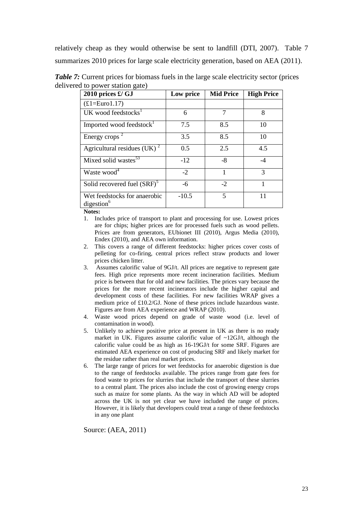relatively cheap as they would otherwise be sent to landfill (DTI, 2007). Table 7 summarizes 2010 prices for large scale electricity generation, based on AEA (2011).

| 2010 prices $\pounds$ / GJ                             | Low price | <b>Mid Price</b> | <b>High Price</b> |
|--------------------------------------------------------|-----------|------------------|-------------------|
| $(E1=Eurol.17)$                                        |           |                  |                   |
| UK wood feedstocks <sup>1</sup>                        | 6         | 7                | 8                 |
| Imported wood feedstock                                | 7.5       | 8.5              | 10                |
| Energy crops $^2$                                      | 3.5       | 8.5              | 10                |
| Agricultural residues (UK) $^2$                        | 0.5       | 2.5              | 4.5               |
| Mixed solid wastes <sup>53</sup>                       | $-12$     | $-8$             | $-4$              |
| Waste wood <sup>4</sup>                                | $-2$      | 1                | 3                 |
| Solid recovered fuel (SRF) <sup>5</sup>                | -6        | $-2$             |                   |
| Wet feedstocks for anaerobic<br>digestion <sup>6</sup> | $-10.5$   | 5                | 11                |

*Table 7:* Current prices for biomass fuels in the large scale electricity sector (prices delivered to power station gate)

**Notes:**

- 1. Includes price of transport to plant and processing for use. Lowest prices are for chips; higher prices are for processed fuels such as wood pellets. Prices are from generators, EUbionet III (2010), Argus Media (2010), Endex (2010), and AEA own information.
- 2. This covers a range of different feedstocks: higher prices cover costs of pelleting for co-firing, central prices reflect straw products and lower prices chicken litter.
- 3. Assumes calorific value of 9GJ/t. All prices are negative to represent gate fees. High price represents more recent incineration facilities. Medium price is between that for old and new facilities. The prices vary because the prices for the more recent incinerators include the higher capital and development costs of these facilities. For new facilities WRAP gives a medium price of £10.2/GJ. None of these prices include hazardous waste. Figures are from AEA experience and WRAP (2010).
- 4. Waste wood prices depend on grade of waste wood (i.e. level of contamination in wood).
- 5. Unlikely to achieve positive price at present in UK as there is no ready market in UK. Figures assume calorific value of  $\sim$ 12GJ/t, although the calorific value could be as high as 16-19GJ/t for some SRF. Figures are estimated AEA experience on cost of producing SRF and likely market for the residue rather than real market prices.
- 6. The large range of prices for wet feedstocks for anaerobic digestion is due to the range of feedstocks available. The prices range from gate fees for food waste to prices for slurries that include the transport of these slurries to a central plant. The prices also include the cost of growing energy crops such as maize for some plants. As the way in which AD will be adopted across the UK is not yet clear we have included the range of prices. However, it is likely that developers could treat a range of these feedstocks in any one plant

Source: (AEA, 2011)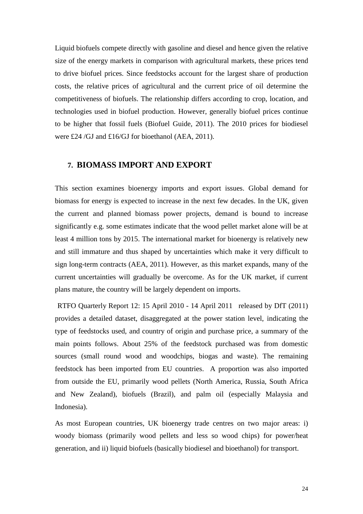Liquid biofuels compete directly with gasoline and diesel and hence given the relative size of the energy markets in comparison with agricultural markets, these prices tend to drive biofuel prices. Since feedstocks account for the largest share of production costs, the relative prices of agricultural and the current price of oil determine the competitiveness of biofuels. The relationship differs according to crop, location, and technologies used in biofuel production. However, generally biofuel prices continue to be higher that fossil fuels (Biofuel Guide, 2011). The 2010 prices for biodiesel were £24 /GJ and £16/GJ for bioethanol (AEA, 2011).

#### <span id="page-23-0"></span>**7. BIOMASS IMPORT AND EXPORT**

This section examines bioenergy imports and export issues. Global demand for biomass for energy is expected to increase in the next few decades. In the UK, given the current and planned biomass power projects, demand is bound to increase significantly e.g. some estimates indicate that the wood pellet market alone will be at least 4 million tons by 2015. The international market for bioenergy is relatively new and still immature and thus shaped by uncertainties which make it very difficult to sign long-term contracts (AEA, 2011). However, as this market expands, many of the current uncertainties will gradually be overcome. As for the UK market, if current plans mature, the country will be largely dependent on imports**.** 

RTFO Quarterly Report 12: 15 April 2010 - 14 April 2011 released by DfT (2011) provides a detailed dataset, disaggregated at the power station level, indicating the type of feedstocks used, and country of origin and purchase price, a summary of the main points follows. About 25% of the feedstock purchased was from domestic sources (small round wood and woodchips, biogas and waste). The remaining feedstock has been imported from EU countries. A proportion was also imported from outside the EU, primarily wood pellets (North America, Russia, South Africa and New Zealand), biofuels (Brazil), and palm oil (especially Malaysia and Indonesia).

As most European countries, UK bioenergy trade centres on two major areas: i) woody biomass (primarily wood pellets and less so wood chips) for power/heat generation, and ii) liquid biofuels (basically biodiesel and bioethanol) for transport.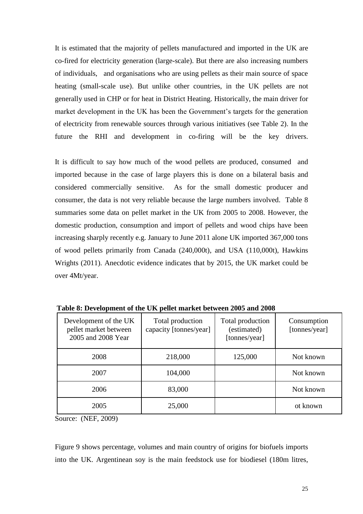It is estimated that the majority of pellets manufactured and imported in the UK are co-fired for electricity generation (large-scale). But there are also increasing numbers of individuals, and organisations who are using pellets as their main source of space heating (small-scale use). But unlike other countries, in the UK pellets are not generally used in CHP or for heat in District Heating. Historically, the main driver for market development in the UK has been the Government"s targets for the generation of electricity from renewable sources through various initiatives (see Table 2). In the future the RHI and development in co-firing will be the key drivers.

It is difficult to say how much of the wood pellets are produced, consumed and imported because in the case of large players this is done on a bilateral basis and considered commercially sensitive. As for the small domestic producer and consumer, the data is not very reliable because the large numbers involved. Table 8 summaries some data on pellet market in the UK from 2005 to 2008. However, the domestic production, consumption and import of pellets and wood chips have been increasing sharply recently e.g. January to June 2011 alone UK imported 367,000 tons of wood pellets primarily from Canada (240,000t), and USA (110,000t), Hawkins Wrights (2011). Anecdotic evidence indicates that by 2015, the UK market could be over 4Mt/year.

| Development of the UK<br>pellet market between<br>2005 and 2008 Year | Total production<br>capacity [tonnes/year] | Total production<br>(estimated)<br>[tonnes/year] | Consumption<br>[tonnes/year] |
|----------------------------------------------------------------------|--------------------------------------------|--------------------------------------------------|------------------------------|
| 2008                                                                 | 218,000                                    | 125,000                                          | Not known                    |
| 2007                                                                 | 104,000                                    |                                                  | Not known                    |
| 2006                                                                 | 83,000                                     |                                                  | Not known                    |
| 2005                                                                 | 25,000                                     |                                                  | ot known                     |

**Table 8: Development of the UK pellet market between 2005 and 2008**

Source: (NEF, 2009)

Figure 9 shows percentage, volumes and main country of origins for biofuels imports into the UK. Argentinean soy is the main feedstock use for biodiesel (180m litres,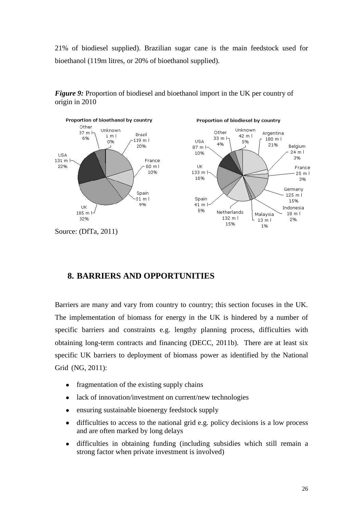21% of biodiesel supplied). Brazilian sugar cane is the main feedstock used for bioethanol (119m litres, or 20% of bioethanol supplied).



*Figure 9:* Proportion of biodiesel and bioethanol import in the UK per country of origin in 2010

Source: (DfTa, 2011)

#### <span id="page-25-0"></span>**8. BARRIERS AND OPPORTUNITIES**

Barriers are many and vary from country to country; this section focuses in the UK. The implementation of biomass for energy in the UK is hindered by a number of specific barriers and constraints e.g. lengthy planning process, difficulties with obtaining long-term contracts and financing (DECC, 2011b). There are at least six specific UK barriers to deployment of biomass power as identified by the National Grid (NG, 2011):

- fragmentation of the existing supply chains  $\bullet$
- lack of innovation/investment on current/new technologies  $\bullet$
- ensuring sustainable bioenergy feedstock supply  $\bullet$
- $\bullet$ difficulties to access to the national grid e.g. policy decisions is a low process and are often marked by long delays
- difficulties in obtaining funding (including subsidies which still remain a  $\bullet$ strong factor when private investment is involved)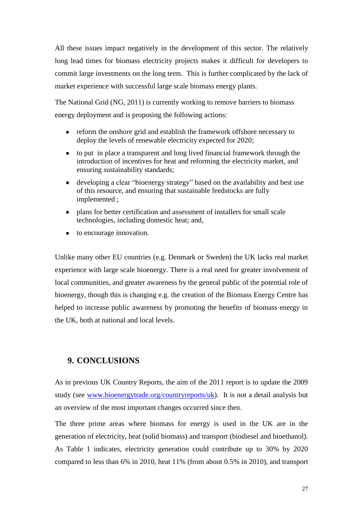All these issues impact negatively in the development of this sector. The relatively long lead times for biomass electricity projects makes it difficult for developers to commit large investments on the long term. This is further complicated by the lack of market experience with successful large scale biomass energy plants.

The National Grid (NG, 2011) is currently working to remove barriers to biomass energy deployment and is proposing the following actions:

- reform the onshore grid and establish the framework offshore necessary to deploy the levels of renewable electricity expected for 2020;
- $\bullet$ to put in place a transparent and long lived financial framework through the introduction of incentives for heat and reforming the electricity market, and ensuring sustainability standards;
- $\bullet$ developing a clear "bioenergy strategy" based on the availability and best use of this resource, and ensuring that sustainable feedstocks are fully implemented ;
- plans for better certification and assessment of installers for small scale technologies, including domestic heat; and,
- to encourage innovation.

Unlike many other EU countries (e.g. Denmark or Sweden) the UK lacks real market experience with large scale bioenergy. There is a real need for greater involvement of local communities, and greater awareness by the general public of the potential role of bioenergy, though this is changing e.g. the creation of the Biomass Energy Centre has helped to increase public awareness by promoting the benefits of biomass energy in the UK, both at national and local levels.

#### <span id="page-26-0"></span>**9. CONCLUSIONS**

As in previous UK Country Reports, the aim of the 2011 report is to update the 2009 study (see [www.bioenergytrade.org/countryreports/uk\)](http://www.bioenergytrade.org/countryreports/uk). It is not a detail analysis but an overview of the most important changes occurred since then.

The three prime areas where biomass for energy is used in the UK are in the generation of electricity, heat (solid biomass) and transport (biodiesel and bioethanol). As Table 1 indicates, electricity generation could contribute up to 30% by 2020 compared to less than 6% in 2010, heat 11% (from about 0.5% in 2010), and transport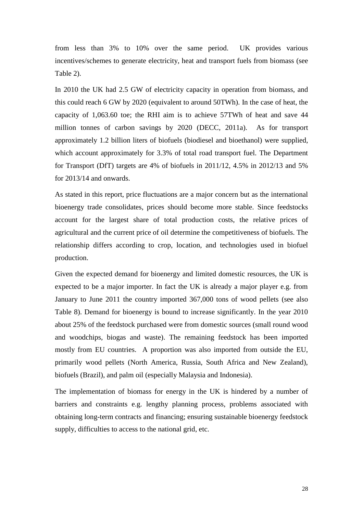from less than 3% to 10% over the same period. UK provides various incentives/schemes to generate electricity, heat and transport fuels from biomass (see Table 2).

In 2010 the UK had 2.5 GW of electricity capacity in operation from biomass, and this could reach 6 GW by 2020 (equivalent to around 50TWh). In the case of heat, the capacity of 1,063.60 toe; the RHI aim is to achieve 57TWh of heat and save 44 million tonnes of carbon savings by 2020 (DECC, 2011a). As for transport approximately 1.2 billion liters of biofuels (biodiesel and bioethanol) were supplied, which account approximately for 3.3% of total road transport fuel. The Department for Transport (DfT) targets are 4% of biofuels in 2011/12, 4.5% in 2012/13 and 5% for 2013/14 and onwards.

As stated in this report, price fluctuations are a major concern but as the international bioenergy trade consolidates, prices should become more stable. Since feedstocks account for the largest share of total production costs, the relative prices of agricultural and the current price of oil determine the competitiveness of biofuels. The relationship differs according to crop, location, and technologies used in biofuel production.

Given the expected demand for bioenergy and limited domestic resources, the UK is expected to be a major importer. In fact the UK is already a major player e.g. from January to June 2011 the country imported 367,000 tons of wood pellets (see also Table 8). Demand for bioenergy is bound to increase significantly. In the year 2010 about 25% of the feedstock purchased were from domestic sources (small round wood and woodchips, biogas and waste). The remaining feedstock has been imported mostly from EU countries. A proportion was also imported from outside the EU, primarily wood pellets (North America, Russia, South Africa and New Zealand), biofuels (Brazil), and palm oil (especially Malaysia and Indonesia).

The implementation of biomass for energy in the UK is hindered by a number of barriers and constraints e.g. lengthy planning process, problems associated with obtaining long-term contracts and financing; ensuring sustainable bioenergy feedstock supply, difficulties to access to the national grid, etc.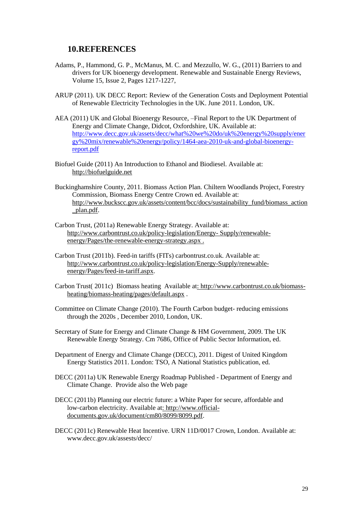#### <span id="page-28-0"></span>**10.REFERENCES**

- Adams, P., Hammond, G. P., McManus, M. C. and Mezzullo, W. G., (2011) Barriers to and drivers for UK bioenergy development. Renewable and Sustainable Energy Reviews, Volume 15, Issue 2, Pages 1217-1227,
- ARUP (2011). UK DECC Report: Review of the Generation Costs and Deployment Potential of Renewable Electricity Technologies in the UK. June 2011. London, UK.
- AEA (2011) UK and Global Bioenergy Resource, –Final Report to the UK Department of Energy and Climate Change, Didcot, Oxfordshire, UK. Available at: [http://www.decc.gov.uk/assets/decc/what%20we%20do/uk%20energy%20supply/ener](http://www.decc.gov.uk/assets/decc/what%20we%20do/uk%20energy%20supply/energy%20mix/renewable%20energy/policy/1464-aea-2010-uk-and-global-bioenergy-report.pdf) [gy%20mix/renewable%20energy/policy/1464-aea-2010-uk-and-global-bioenergy](http://www.decc.gov.uk/assets/decc/what%20we%20do/uk%20energy%20supply/energy%20mix/renewable%20energy/policy/1464-aea-2010-uk-and-global-bioenergy-report.pdf)[report.pdf](http://www.decc.gov.uk/assets/decc/what%20we%20do/uk%20energy%20supply/energy%20mix/renewable%20energy/policy/1464-aea-2010-uk-and-global-bioenergy-report.pdf)
- Biofuel Guide (2011) An Introduction to Ethanol and Biodiesel. Available at: [http://biofuelguide.net](http://biofuelguide.net/)
- Buckinghamshire County, 2011. Biomass Action Plan. Chiltern Woodlands Project, Forestry Commission, Biomass Energy Centre Crown ed. Available at: [http://www.buckscc.gov.uk/assets/content/bcc/docs/sustainability\\_fund/biomass\\_action](http://www.buckscc.gov.uk/assets/content/bcc/docs/sustainability_fund/biomass_action_plan.pdf) [\\_plan.pdf.](http://www.buckscc.gov.uk/assets/content/bcc/docs/sustainability_fund/biomass_action_plan.pdf)
- Carbon Trust, (2011a) Renewable Energy Strategy. Available at: [http://www.carbontrust.co.uk/policy-legislation/Energy-](http://www.carbontrust.co.uk/policy-legislation/Energy-%20Supply/renewable-energy/Pages/the-renewable-energy-strategy.aspx) Supply/renewable[energy/Pages/the-renewable-energy-strategy.aspx](http://www.carbontrust.co.uk/policy-legislation/Energy-%20Supply/renewable-energy/Pages/the-renewable-energy-strategy.aspx) .
- Carbon Trust (2011b). Feed-in tariffs (FITs) carbontrust.co.uk. Available at: [http://www.carbontrust.co.uk/policy-legislation/Energy-Supply/renewable](http://www.carbontrust.co.uk/policy-legislation/Energy-Supply/renewable-)energy/Pages/feed-in-tariff.aspx.
- Carbon Trust( 2011c) Biomass heating Available at: http://www.carbontrust.co.uk/biomassheating/biomass-heating/pages/default.aspx .
- Committee on Climate Change (2010). The Fourth Carbon budget- reducing emissions through the 2020s , December 2010, London, UK.
- Secretary of State for Energy and Climate Change & HM Government, 2009. The UK Renewable Energy Strategy. Cm 7686, Office of Public Sector Information, ed.
- Department of Energy and Climate Change (DECC), 2011. Digest of United Kingdom Energy Statistics 2011. London: TSO, A National Statistics publication, ed.
- DECC (2011a) UK Renewable Energy Roadmap Published Department of Energy and Climate Change. Provide also the Web page
- DECC (2011b) Planning our electric future: a White Paper for secure, affordable and low‐carbon electricity. Available at: [http://www.official](http://www.official-/)documents.gov.uk/document/cm80/8099/8099.pdf.
- DECC (2011c) Renewable Heat Incentive. URN 11D/0017 Crown, London. Available at: www.decc.gov.uk/assests/decc/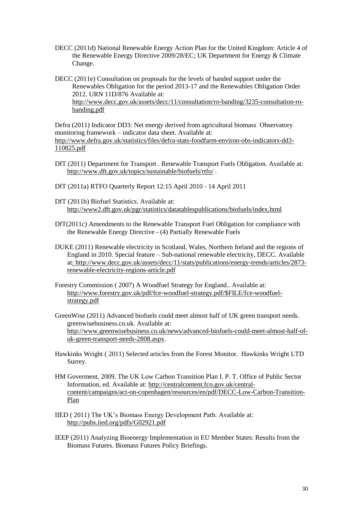- DECC (2011d) National Renewable Energy Action Plan for the United Kingdom: Article 4 of the Renewable Energy Directive 2009/28/EC; UK Department for Energy & Climate Change.
- DECC (2011e) Consultation on proposals for the levels of banded support under the Renewables Obligation for the period 2013-17 and the Renewables Obligation Order 2012. URN 11D/876 Available at: [http://www.decc.gov.uk/assets/decc/11/consultation/ro-banding/3235-consultation-ro](http://www.decc.gov.uk/assets/decc/11/consultation/ro-banding/3235-consultation-ro-banding.pdf)[banding.pdf](http://www.decc.gov.uk/assets/decc/11/consultation/ro-banding/3235-consultation-ro-banding.pdf)

Defra (2011) Indicator DD3: Net energy derived from agricultural biomass Observatory monitoring framework – indicator data sheet. Available at: http://www.defra.gov.uk/statistics/files/defra-stats-foodfarm-environ-obs-indicators-dd3- 110825.pdf

- DfT (2011) Department for Transport . Renewable Transport Fuels Obligation. Available at: <http://www.dft.gov.uk/topics/sustainable/biofuels/rtfo/> .
- DfT (2011a) RTFO Quarterly Report 12:15 April 2010 14 April 2011
- DfT (2011b) Biofuel Statistics. Available at: <http://www2.dft.gov.uk/pgr/statistics/datatablespublications/biofuels/index.html>
- DfT(2011c) Amendments to the Renewable Transport Fuel Obligation for compliance with the Renewable Energy Directive - (4) Partially Renewable Fuels
- DUKE (2011) Renewable electricity in Scotland, Wales, Northern Ireland and the regions of England in 2010. Special feature – Sub-national renewable electricity, DECC. Available at: http://www.decc.gov.uk/assets/decc/11/stats/publications/energy-trends/articles/2873 renewable-electricity-regions-article.pdf
- Forestry Commission ( 2007) A Woodfuel Strategy for England.. Available at: http://www.forestry.gov.uk/pdf/fce-woodfuel-strategy.pdf/\$FILE/fce-woodfuelstrategy.pdf
- GreenWise (2011) Advanced biofuels could meet almost half of UK green transport needs. greenwisebusiness.co.uk. Available at: http://www.greenwisebusiness.co.uk/news/advanced-biofuels-could-meet-almost-half-ofuk-green-transport-needs-2808.aspx.
- Hawkinks Wright ( 2011) Selected articles from the Forest Monitor. Hawkinks Wright LTD Surrey.
- HM Goverment, 2009. The UK Low Carbon Transition Plan I. P. T. Office of Public Sector Information, ed. Available at: http://centralcontent.fco.gov.uk/centralcontent/campaigns/act-on-copenhagen/resources/en/pdf/DECC-Low-Carbon-Transition-Plan
- IIED ( 2011) The UK"s Biomass Energy Development Path: Available at: <http://pubs.iied.org/pdfs/G02921.pdf>
- IEEP (2011) Analyzing Bioenergy Implementation in EU Member States: Results from the Biomass Futures. Biomass Futures Policy Briefings.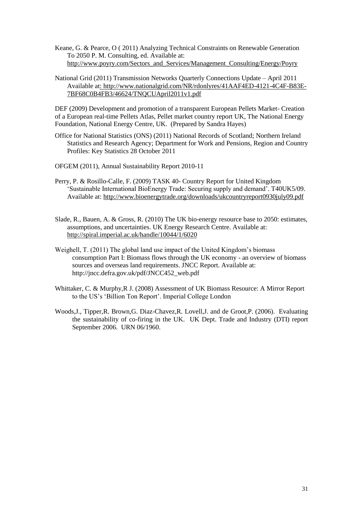Keane, G. & Pearce, O ( 2011) Analyzing Technical Constraints on Renewable Generation To 2050 P. M. Consulting, ed. Available at: [http://www.poyry.com/Sectors\\_and\\_Services/Management\\_Consulting/Energy/Poyry](http://www.poyry.com/Sectors_and_Services/Management_Consulting/Energy/Poyry)

#### National Grid (2011) Transmission Networks Quarterly Connections Update – April 2011 Available at: [http://www.nationalgrid.com/NR/rdonlyres/41AAF4ED-4121-4C4F-B83E-](http://www.nationalgrid.com/NR/rdonlyres/41AAF4ED-4121-4C4F-B83E-%20%207BF68C0B4FB3/46624/TNQCUApril2011v1.pdf)[7BF68C0B4FB3/46624/TNQCUApril2011v1.pdf](http://www.nationalgrid.com/NR/rdonlyres/41AAF4ED-4121-4C4F-B83E-%20%207BF68C0B4FB3/46624/TNQCUApril2011v1.pdf)

DEF (2009) Development and promotion of a transparent European Pellets Market- Creation of a European real-time Pellets Atlas, Pellet market country report UK, The National Energy Foundation, National Energy Centre, UK. (Prepared by Sandra Hayes)

Office for National Statistics (ONS) (2011) National Records of Scotland; Northern Ireland Statistics and Research Agency; Department for Work and Pensions, Region and Country Profiles: Key Statistics 28 October 2011

OFGEM (2011), Annual Sustainability Report 2010-11

- Perry, P. & Rosillo-Calle, F. (2009) TASK 40- Country Report for United Kingdom "Sustainable International BioEnergy Trade: Securing supply and demand". T40UK5/09. Available at: http://www.bioenergytrade.org/downloads/ukcountryreport0930july09.pdf
- Slade, R., Bauen, A. & Gross, R. (2010) The UK bio-energy resource base to 2050: estimates, assumptions, and uncertainties. UK Energy Research Centre. Available at: http://spiral.imperial.ac.uk/handle/10044/1/6020
- Weighell, T. (2011) The global land use impact of the United Kingdom's biomass consumption Part I: Biomass flows through the UK economy - an overview of biomass sources and overseas land requirements. JNCC Report. Available at: http://jncc.defra.gov.uk/pdf/JNCC452\_web.pdf
- Whittaker, C. & Murphy,R J. (2008) Assessment of UK Biomass Resource: A Mirror Report to the US"s "Billion Ton Report". Imperial College London
- Woods,J., Tipper,R. Brown,G. Diaz-Chavez,R. Lovell,J. and de Groot,P. (2006). Evaluating the sustainability of co-firing in the UK. UK Dept. Trade and Industry (DTI) report September 2006. URN 06/1960.